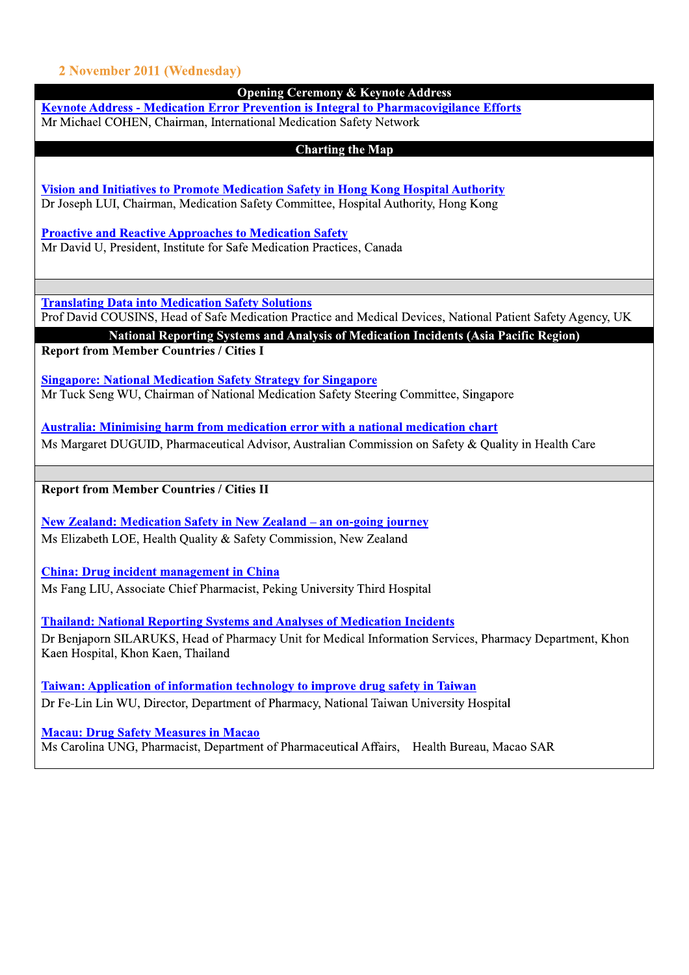## 2 November 2011 (Wednesday)

| 2 November 2011 (Wednesday)<br><b>Opening Ceremony &amp; Keynote Address</b>                                                                                             |  |
|--------------------------------------------------------------------------------------------------------------------------------------------------------------------------|--|
| <b>Keynote Address - Medication Error Prevention is Integral to Pharmacovigilance Efforts</b>                                                                            |  |
| Mr Michael COHEN, Chairman, International Medication Safety Network                                                                                                      |  |
| <b>Charting the Map</b>                                                                                                                                                  |  |
| <b>Vision and Initiatives to Promote Medication Safety in Hong Kong Hospital Authority</b>                                                                               |  |
| Dr Joseph LUI, Chairman, Medication Safety Committee, Hospital Authority, Hong Kong                                                                                      |  |
| <b>Proactive and Reactive Approaches to Medication Safety</b>                                                                                                            |  |
| Mr David U, President, Institute for Safe Medication Practices, Canada                                                                                                   |  |
|                                                                                                                                                                          |  |
| <b>Translating Data into Medication Safety Solutions</b><br>Prof David COUSINS, Head of Safe Medication Practice and Medical Devices, National Patient Safety Agency, UK |  |
| National Reporting Systems and Analysis of Medication Incidents (Asia Pacific Region)<br><b>Report from Member Countries / Cities I</b>                                  |  |
| <b>Singapore: National Medication Safety Strategy for Singapore</b>                                                                                                      |  |
| Mr Tuck Seng WU, Chairman of National Medication Safety Steering Committee, Singapore                                                                                    |  |
| <b>Australia: Minimising harm from medication error with a national medication chart</b>                                                                                 |  |
|                                                                                                                                                                          |  |
| Ms Margaret DUGUID, Pharmaceutical Advisor, Australian Commission on Safety & Quality in Health Care                                                                     |  |
| <b>Report from Member Countries / Cities II</b>                                                                                                                          |  |
|                                                                                                                                                                          |  |
| <b>New Zealand: Medication Safety in New Zealand - an on-going journey</b><br>Ms Elizabeth LOE, Health Quality & Safety Commission, New Zealand                          |  |
|                                                                                                                                                                          |  |
| <b>China: Drug incident management in China</b><br>Ms Fang LIU, Associate Chief Pharmacist, Peking University Third Hospital                                             |  |
| <b>Thailand: National Reporting Systems and Analyses of Medication Incidents</b>                                                                                         |  |
| Dr Benjaporn SILARUKS, Head of Pharmacy Unit for Medical Information Services, Pharmacy Department, Khon<br>Kaen Hospital, Khon Kaen, Thailand                           |  |
| <b>Taiwan: Application of information technology to improve drug safety in Taiwan</b>                                                                                    |  |
| Dr Fe-Lin Lin WU, Director, Department of Pharmacy, National Taiwan University Hospital                                                                                  |  |
| <b>Macau: Drug Safety Measures in Macao</b><br>Ms Carolina UNG, Pharmacist, Department of Pharmaceutical Affairs, Health Bureau, Macao SAR                               |  |